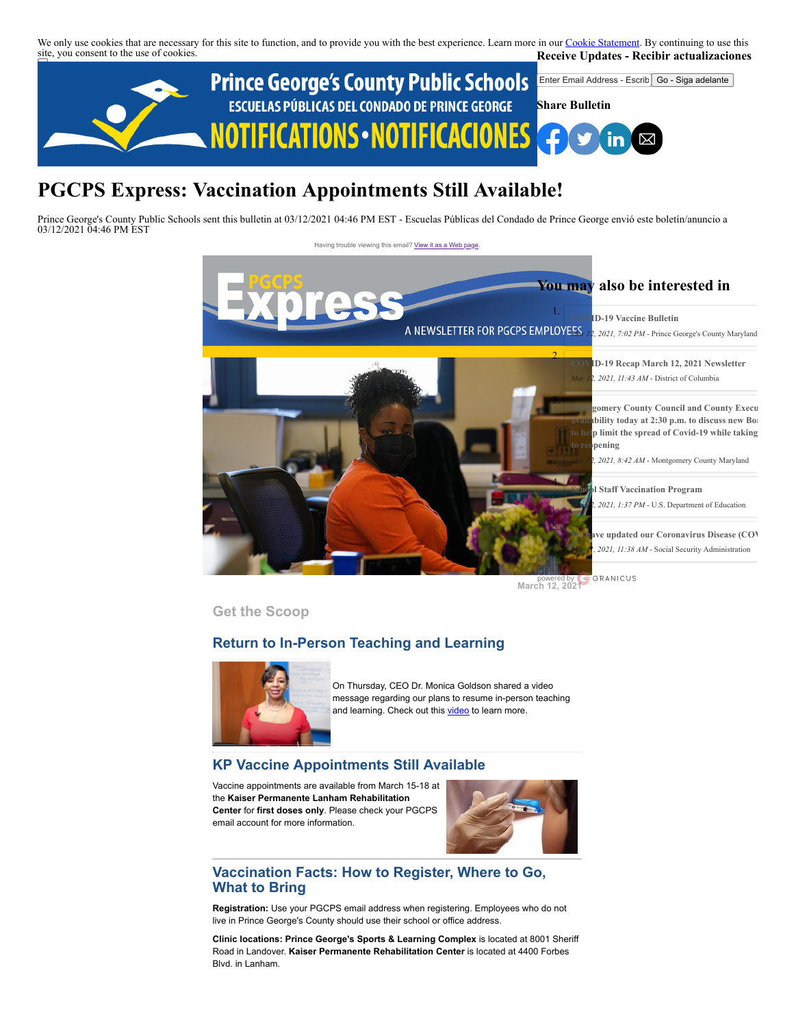We only use cookies that are necessary for this site to function, and to provide you with the best experience. Learn more in our [Cookie Statement.](https://subscriberhelp.granicus.com/s/article/Cookies) By continuing to use this site, you consent to the use of cookies. **Receive Updates - Recibir actualizaciones**



# **PGCPS Express: Vaccination Appointments Still Available!**

Prince George's County Public Schools sent this bulletin at 03/12/2021 04:46 PM EST - Escuelas Públicas del Condado de Prince George envió este boletín/anuncio a 03/12/2021 04:46 PM EST

Having trouble viewing this email? [View it as a Web page](https://content.govdelivery.com/accounts/PGCPS/bulletins/2c63e19)



**March 12, 2021** 

**Get the Scoop**

# **Return to In-Person Teaching and Learning**



On Thursday, CEO Dr. Monica Goldson shared a video message regarding our plans to resume in-person teaching and learning. Check out this [video](https://www.youtube.com/watch?v=LYxJ2t1h3As) to learn more.

# **KP Vaccine Appointments Still Available**

Vaccine appointments are available from March 15-18 at the **Kaiser Permanente Lanham Rehabilitation Center** for **first doses only**. Please check your PGCPS email account for more information.



# **Vaccination Facts: How to Register, Where to Go, What to Bring**

**Registration:** Use your PGCPS email address when registering. Employees who do not live in Prince George's County should use their school or office address.

**Clinic locations: Prince George's Sports & Learning Complex** is located at 8001 Sheriff Road in Landover. **Kaiser Permanente Rehabilitation Center** is located at 4400 Forbes Blvd. in Lanham.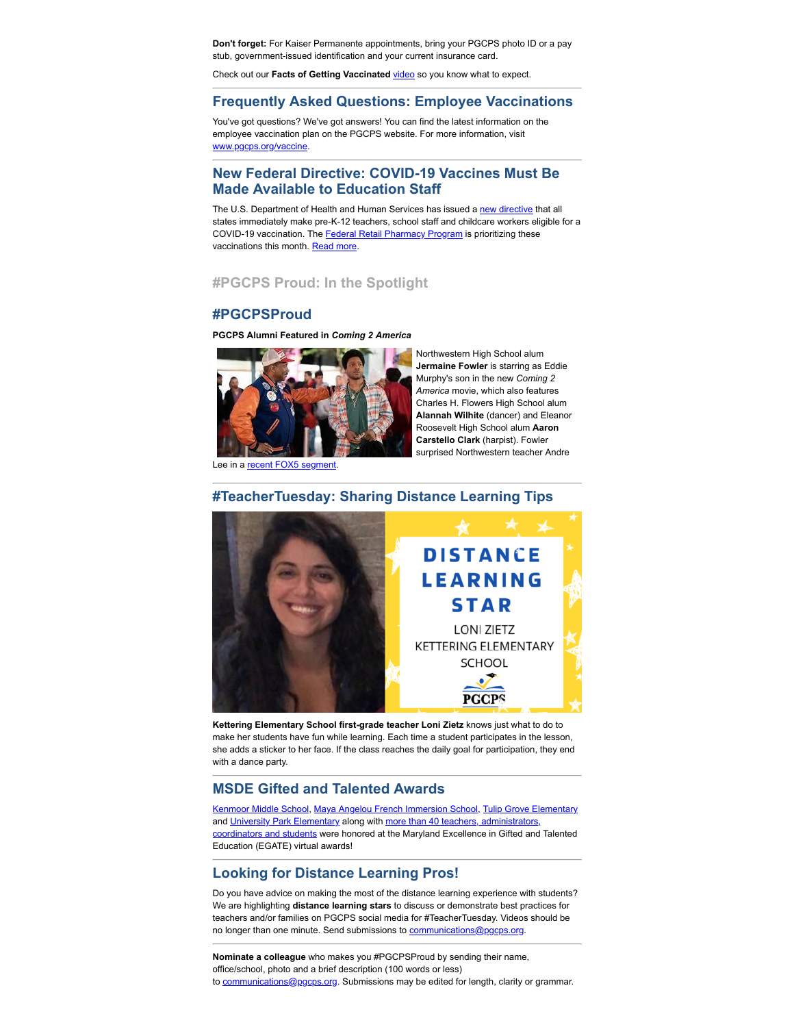**Don't forget:** For Kaiser Permanente appointments, bring your PGCPS photo ID or a pay stub, government-issued identification and your current insurance card.

Check out our Facts of Getting Vaccinated [video](https://www.youtube.com/watch?reload=9&v=Gi0ONgnhDsk&feature=youtu.be) so you know what to expect.

### **Frequently Asked Questions: Employee Vaccinations**

You've got questions? We've got answers! You can find the latest information on the employee vaccination plan on the PGCPS website. For more information, visit [www.pgcps.org/vaccine](https://www.pgcps.org/vaccine).

# **New Federal Directive: COVID-19 Vaccines Must Be Made Available to Education Staff**

The U.S. Department of Health and Human Services has issued a [new directive](http://send.aasa.org/link.cfm?r=_u5_L0OA52VYAoNVzc3ppg~~&pe=vaHJs3obtjtIoeA0cTPt6R_xbmEbnB0MrM9J9HkjI4tY_l5mVGEZETs-Vt_Z8J6za6g9Nh9JYW3AVBpTLAQOwQ~~&t=INSERT_TRACKING_ENCID) that all states immediately make pre-K-12 teachers, school staff and childcare workers eligible for a COVID-19 vaccination. The [Federal Retail Pharmacy Program](http://send.aasa.org/link.cfm?r=_u5_L0OA52VYAoNVzc3ppg~~&pe=m0yEJPOMViasfub-BGz5oN-iW00rxfJ2oBh5aoS9ePme-a8pHeAvuPjtvk89X__qWhCY4bH1akhHJoM8Nhch6g~~&t=INSERT_TRACKING_ENCID) is prioritizing these vaccinations this month. [Read more](https://contentsharing.net/actions/email_web_version.cfm?ep=0tInWiV5L_clmVfHG0RNWdiDfJ03sQg8pnGsik-pcEsRNih3VrQKDH0JBEZi2xhZC2RgKzWNx_3nI3p5PIVjdGdubrEYOLq1aPDuLbMi39gx89IRsrkeW0r6FUXpXmH8).

# **#PGCPS Proud: In the Spotlight**

## **#PGCPSProud**

**PGCPS Alumni Featured in** *Coming 2 America*



Northwestern High School alum **Jermaine Fowler** is starring as Eddie Murphy's son in the new *Coming 2 America* movie, which also features Charles H. Flowers High School alum **Alannah Wilhite** (dancer) and Eleanor Roosevelt High School alum **Aaron Carstello Clark** (harpist). Fowler surprised Northwestern teacher Andre

Lee in a recent FOX5 segment

### **#TeacherTuesday: Sharing Distance Learning Tips**



**Kettering Elementary School first-grade teacher Loni Zietz** knows just what to do to make her students have fun while learning. Each time a student participates in the lesson, she adds a sticker to her face. If the class reaches the daily goal for participation, they end with a dance party.

### **MSDE Gifted and Talented Awards**

[Kenmoor Middle School](https://drive.google.com/file/d/1rew89GFXAP7rf19rCOIogoLOokk8-8UZ/view?usp=sharing), [Maya Angelou French Immersion School](https://drive.google.com/file/d/180Ue_C5m8e9CBQIvcxAaK2ZAzXmy5W9L/view?ts=602d392f), [Tulip Grove Elementary](https://drive.google.com/file/d/1WXsEbI-0UlIy92OiyQK4K6zXL_TyaGXi/view) and University Park Elementary along with more than 40 teachers, administrators coordinators and students were honored at the Maryland Excellence in Gifted and Talented Education (EGATE) virtual awards!

### **Looking for Distance Learning Pros!**

Do you have advice on making the most of the distance learning experience with students? We are highlighting **distance learning stars** to discuss or demonstrate best practices for teachers and/or families on PGCPS social media for #TeacherTuesday. Videos should be no longer than one minute. Send submissions to [communications@pgcps.org](mailto:communications@pgcps.org).

**Nominate a colleague** who makes you #PGCPSProud by sending their name, office/school, photo and a brief description (100 words or less) to [communications@pgcps.org](mailto:communications@pgcps.org). Submissions may be edited for length, clarity or grammar.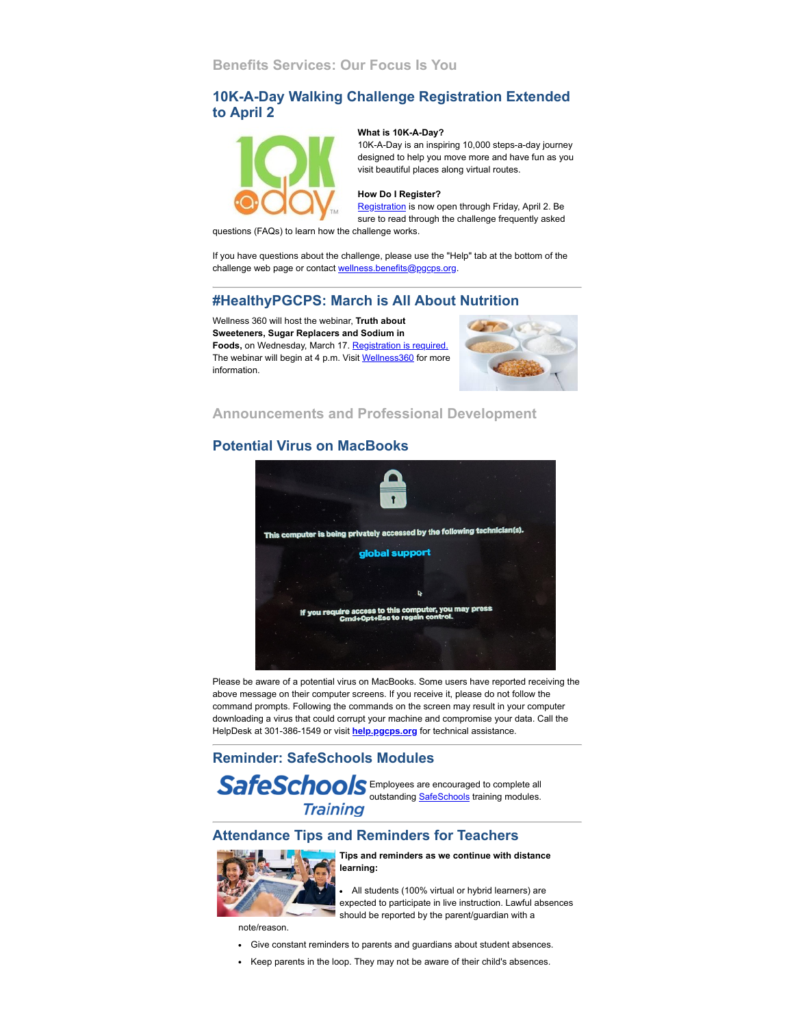# **10K-A-Day Walking Challenge Registration Extended to April 2**



#### **What is 10K-A-Day?**

10K-A-Day is an inspiring 10,000 steps-a-day journey designed to help you move more and have fun as you visit beautiful places along virtual routes.

#### **How Do I Register?**

[Registration](https://pgcps.10kaday.com/#/welcome) is now open through Friday, April 2. Be sure to read through the challenge frequently asked

questions (FAQs) to learn how the challenge works.

If you have questions about the challenge, please use the "Help" tab at the bottom of the challenge web page or contact [wellness.benefits@pgcps.org](mailto:wellness.benefits@pgcps.org).

# **#HealthyPGCPS: March is All About Nutrition**

Wellness 360 will host the webinar, **Truth about Sweeteners, Sugar Replacers and Sodium in** Foods, on Wednesday, March 17. [Registration is required.](https://kponline.webex.com/mw3300/mywebex/default.do?service=7&nomenu=true&main_url=%2Ftc3300%2Ftrainingcenter%2FLoading.do%3Fsiteurl%3Dkponline%26UID%3D-99999999%26RT%3DMiMxMQ%253D%253D%26siteurl%3Dkponline%26apiname%3Dj.php%26MTID%3Dt1006eded23f5935fb17ca5591feb91e0%26FM%3D1%26rnd%3D7557241255%26servicename%3DTC%26ED%3D1147959702%26needFilter%3Dfalse&siteurl=kponline) The webinar will begin at 4 p.m. Visit [Wellness360](https://offices.pgcps.org/Wellness/Cards/Employee-Wellness-Program/) for more information.



**Announcements and Professional Development**

# **Potential Virus on MacBooks**



Please be aware of a potential virus on MacBooks. Some users have reported receiving the above message on their computer screens. If you receive it, please do not follow the command prompts. Following the commands on the screen may result in your computer downloading a virus that could corrupt your machine and compromise your data. Call the HelpDesk at 301-386-1549 or visit **[help.pgcps.org](http://help.pgcps.org/)** for technical assistance.

# **Reminder: SafeSchools Modules**

SafeSchools Employees are encouraged to complete all outstanding **SafeSchools** training modules. **Training** 

# **Attendance Tips and Reminders for Teachers**



#### **Tips and reminders as we continue with distance learning:**

All students (100% virtual or hybrid learners) are expected to participate in live instruction. Lawful absences should be reported by the parent/guardian with a

note/reason.

- Give constant reminders to parents and guardians about student absences.
- Keep parents in the loop. They may not be aware of their child's absences.